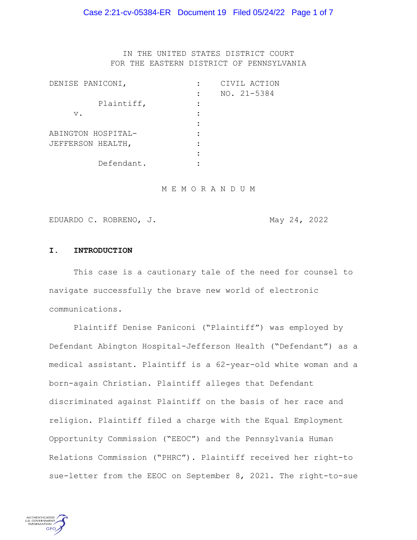### Case 2:21-cv-05384-ER Document 19 Filed 05/24/22 Page 1 of 7

IN THE UNITED STATES DISTRICT COURT FOR THE EASTERN DISTRICT OF PENNSYLVANIA

| DENISE PANICONI,   | CIVIL ACTION |
|--------------------|--------------|
|                    | NO. 21-5384  |
| Plaintiff,         |              |
| $V$ .              |              |
|                    |              |
| ABINGTON HOSPITAL- |              |
| JEFFERSON HEALTH,  |              |
|                    |              |
| Defendant.         |              |

M E M O R A N D U M

EDUARDO C. ROBRENO, J. May 24, 2022

#### **I. INTRODUCTION**

This case is a cautionary tale of the need for counsel to navigate successfully the brave new world of electronic communications.

Plaintiff Denise Paniconi ("Plaintiff") was employed by Defendant Abington Hospital-Jefferson Health ("Defendant") as a medical assistant. Plaintiff is a 62-year-old white woman and a born-again Christian. Plaintiff alleges that Defendant discriminated against Plaintiff on the basis of her race and religion. Plaintiff filed a charge with the Equal Employment Opportunity Commission ("EEOC") and the Pennsylvania Human Relations Commission ("PHRC"). Plaintiff received her right-to sue-letter from the EEOC on September 8, 2021. The right-to-sue

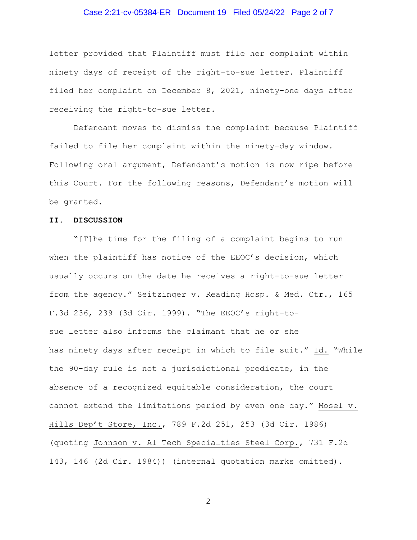### Case 2:21-cv-05384-ER Document 19 Filed 05/24/22 Page 2 of 7

letter provided that Plaintiff must file her complaint within ninety days of receipt of the right-to-sue letter. Plaintiff filed her complaint on December 8, 2021, ninety-one days after receiving the right-to-sue letter.

Defendant moves to dismiss the complaint because Plaintiff failed to file her complaint within the ninety-day window. Following oral argument, Defendant's motion is now ripe before this Court. For the following reasons, Defendant's motion will be granted.

#### **II. DISCUSSION**

"[T]he time for the filing of a complaint begins to run when the plaintiff has notice of the EEOC's decision, which usually occurs on the date he receives a right-to-sue letter from the agency." Seitzinger v. Reading Hosp. & Med. Ctr., 165 F.3d 236, 239 (3d Cir. 1999). "The EEOC's right-tosue letter also informs the claimant that he or she has ninety days after receipt in which to file suit." Id. "While the 90-day rule is not a jurisdictional predicate, in the absence of a recognized equitable consideration, the court cannot extend the limitations period by even one day." Mosel v. Hills Dep't Store, Inc., 789 F.2d 251, 253 (3d Cir. 1986) (quoting Johnson v. Al Tech Specialties Steel Corp., 731 F.2d 143, 146 (2d Cir. 1984)) (internal quotation marks omitted).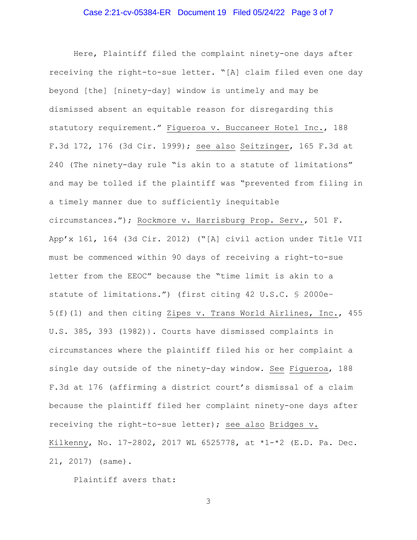# Case 2:21-cv-05384-ER Document 19 Filed 05/24/22 Page 3 of 7

Here, Plaintiff filed the complaint ninety-one days after receiving the right-to-sue letter. "[A] claim filed even one day beyond [the] [ninety-day] window is untimely and may be dismissed absent an equitable reason for disregarding this statutory requirement." Figueroa v. Buccaneer Hotel Inc., 188 F.3d 172, 176 (3d Cir. 1999); see also Seitzinger, 165 F.3d at 240 (The ninety-day rule "is akin to a statute of limitations" and may be tolled if the plaintiff was "prevented from filing in a timely manner due to sufficiently inequitable circumstances."); Rockmore v. Harrisburg Prop. Serv., 501 F. App'x 161, 164 (3d Cir. 2012) ("[A] civil action under Title VII must be commenced within 90 days of receiving a right-to-sue letter from the EEOC" because the "time limit is akin to a statute of limitations.") (first citing 42 U.S.C. § 2000e– 5(f)(1) and then citing Zipes v. Trans World Airlines, Inc., 455 U.S. 385, 393 (1982)). Courts have dismissed complaints in circumstances where the plaintiff filed his or her complaint a single day outside of the ninety-day window. See Figueroa, 188 F.3d at 176 (affirming a district court's dismissal of a claim because the plaintiff filed her complaint ninety-one days after receiving the right-to-sue letter); see also Bridges v. Kilkenny, No. 17-2802, 2017 WL 6525778, at \*1-\*2 (E.D. Pa. Dec. 21, 2017) (same).

Plaintiff avers that: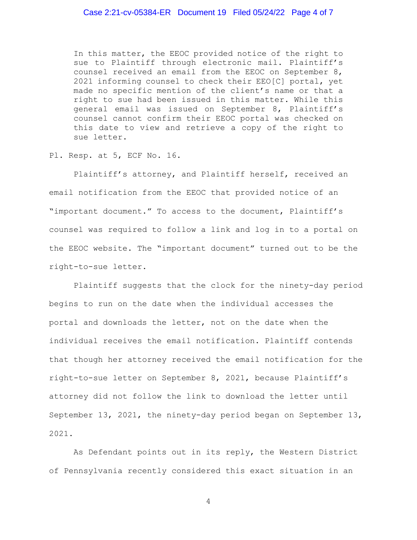## Case 2:21-cv-05384-ER Document 19 Filed 05/24/22 Page 4 of 7

In this matter, the EEOC provided notice of the right to sue to Plaintiff through electronic mail. Plaintiff's counsel received an email from the EEOC on September 8, 2021 informing counsel to check their EEO[C] portal, yet made no specific mention of the client's name or that a right to sue had been issued in this matter. While this general email was issued on September 8, Plaintiff's counsel cannot confirm their EEOC portal was checked on this date to view and retrieve a copy of the right to sue letter.

Pl. Resp. at 5, ECF No. 16.

Plaintiff's attorney, and Plaintiff herself, received an email notification from the EEOC that provided notice of an "important document." To access to the document, Plaintiff's counsel was required to follow a link and log in to a portal on the EEOC website. The "important document" turned out to be the right-to-sue letter.

Plaintiff suggests that the clock for the ninety-day period begins to run on the date when the individual accesses the portal and downloads the letter, not on the date when the individual receives the email notification. Plaintiff contends that though her attorney received the email notification for the right-to-sue letter on September 8, 2021, because Plaintiff's attorney did not follow the link to download the letter until September 13, 2021, the ninety-day period began on September 13, 2021.

As Defendant points out in its reply, the Western District of Pennsylvania recently considered this exact situation in an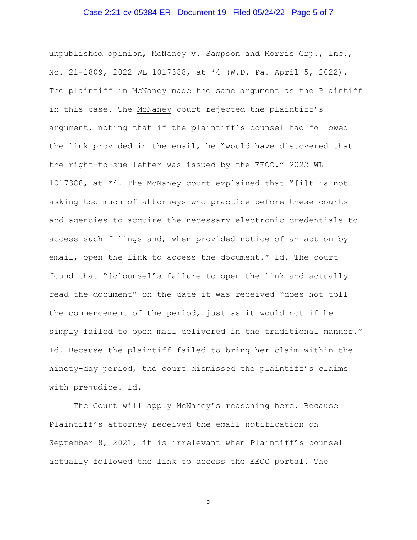### Case 2:21-cv-05384-ER Document 19 Filed 05/24/22 Page 5 of 7

unpublished opinion, McNaney v. Sampson and Morris Grp., Inc., No. 21-1809, 2022 WL 1017388, at \*4 (W.D. Pa. April 5, 2022). The plaintiff in McNaney made the same argument as the Plaintiff in this case. The McNaney court rejected the plaintiff's argument, noting that if the plaintiff's counsel had followed the link provided in the email, he "would have discovered that the right-to-sue letter was issued by the EEOC." 2022 WL 1017388, at \*4. The McNaney court explained that "[i]t is not asking too much of attorneys who practice before these courts and agencies to acquire the necessary electronic credentials to access such filings and, when provided notice of an action by email, open the link to access the document." Id. The court found that "[c]ounsel's failure to open the link and actually read the document" on the date it was received "does not toll the commencement of the period, just as it would not if he simply failed to open mail delivered in the traditional manner." Id. Because the plaintiff failed to bring her claim within the ninety-day period, the court dismissed the plaintiff's claims with prejudice. Id.

The Court will apply McNaney's reasoning here. Because Plaintiff's attorney received the email notification on September 8, 2021, it is irrelevant when Plaintiff's counsel actually followed the link to access the EEOC portal. The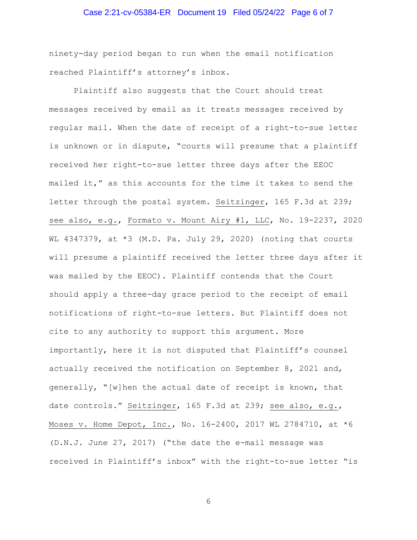### Case 2:21-cv-05384-ER Document 19 Filed 05/24/22 Page 6 of 7

ninety-day period began to run when the email notification reached Plaintiff's attorney's inbox.

Plaintiff also suggests that the Court should treat messages received by email as it treats messages received by regular mail. When the date of receipt of a right-to-sue letter is unknown or in dispute, "courts will presume that a plaintiff received her right-to-sue letter three days after the EEOC mailed it," as this accounts for the time it takes to send the letter through the postal system. Seitzinger, 165 F.3d at 239; see also, e.g., Formato v. Mount Airy #1, LLC, No. 19-2237, 2020 WL 4347379, at \*3 (M.D. Pa. July 29, 2020) (noting that courts will presume a plaintiff received the letter three days after it was mailed by the EEOC). Plaintiff contends that the Court should apply a three-day grace period to the receipt of email notifications of right-to-sue letters. But Plaintiff does not cite to any authority to support this argument. More importantly, here it is not disputed that Plaintiff's counsel actually received the notification on September 8, 2021 and, generally, "[w]hen the actual date of receipt is known, that date controls." Seitzinger, 165 F.3d at 239; see also, e.g., Moses v. Home Depot, Inc., No. 16-2400, 2017 WL 2784710, at \*6 (D.N.J. June 27, 2017) ("the date the e-mail message was received in Plaintiff's inbox" with the right-to-sue letter "is